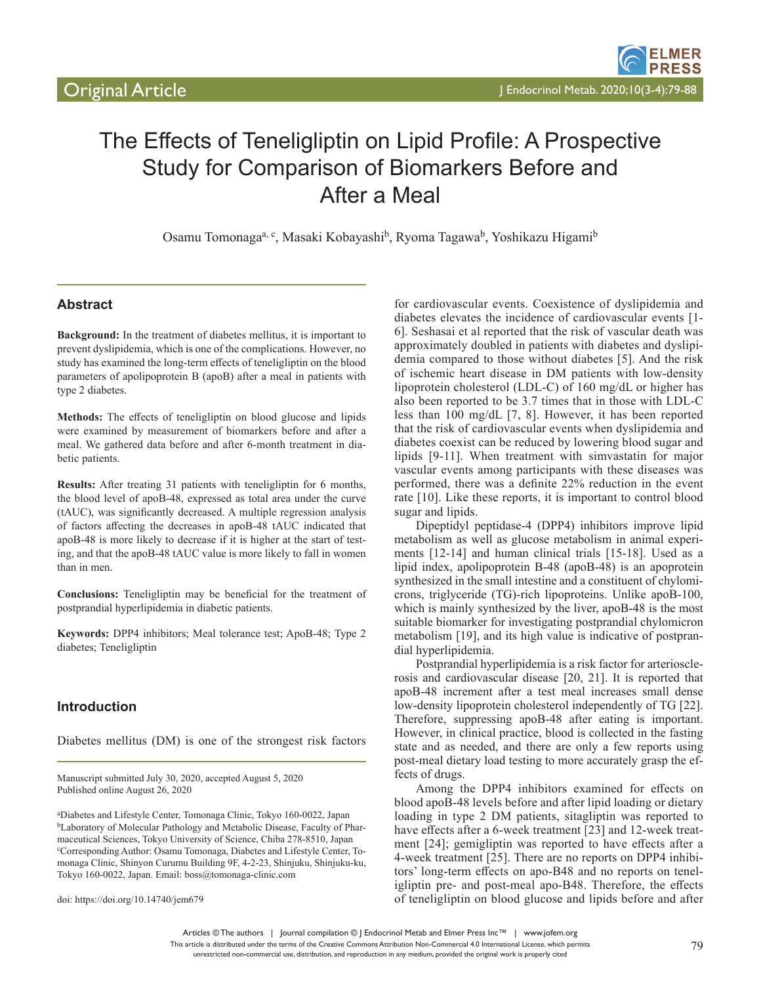# The Effects of Teneligliptin on Lipid Profile: A Prospective Study for Comparison of Biomarkers Before and After a Meal

Osamu Tomonaga<sup>a, c</sup>, Masaki Kobayashi<sup>b</sup>, Ryoma Tagawa<sup>b</sup>, Yoshikazu Higami<sup>b</sup>

# **Abstract**

**Background:** In the treatment of diabetes mellitus, it is important to prevent dyslipidemia, which is one of the complications. However, no study has examined the long-term effects of teneligliptin on the blood parameters of apolipoprotein B (apoB) after a meal in patients with type 2 diabetes.

**Methods:** The effects of teneligliptin on blood glucose and lipids were examined by measurement of biomarkers before and after a meal. We gathered data before and after 6-month treatment in diabetic patients.

**Results:** After treating 31 patients with teneligliptin for 6 months, the blood level of apoB-48, expressed as total area under the curve (tAUC), was significantly decreased. A multiple regression analysis of factors affecting the decreases in apoB-48 tAUC indicated that apoB-48 is more likely to decrease if it is higher at the start of testing, and that the apoB-48 tAUC value is more likely to fall in women than in men.

**Conclusions:** Teneligliptin may be beneficial for the treatment of postprandial hyperlipidemia in diabetic patients.

**Keywords:** DPP4 inhibitors; Meal tolerance test; ApoB-48; Type 2 diabetes; Teneligliptin

# **Introduction**

Diabetes mellitus (DM) is one of the strongest risk factors

Manuscript submitted July 30, 2020, accepted August 5, 2020 Published online August 26, 2020

a Diabetes and Lifestyle Center, Tomonaga Clinic, Tokyo 160-0022, Japan bLaboratory of Molecular Pathology and Metabolic Disease, Faculty of Pharmaceutical Sciences, Tokyo University of Science, Chiba 278-8510, Japan c Corresponding Author: Osamu Tomonaga, Diabetes and Lifestyle Center, Tomonaga Clinic, Shinyon Curumu Building 9F, 4-2-23, Shinjuku, Shinjuku-ku, Tokyo 160-0022, Japan. Email: boss@tomonaga-clinic.com

doi: https://doi.org/10.14740/jem679

for cardiovascular events. Coexistence of dyslipidemia and diabetes elevates the incidence of cardiovascular events [1- 6]. Seshasai et al reported that the risk of vascular death was approximately doubled in patients with diabetes and dyslipidemia compared to those without diabetes [5]. And the risk of ischemic heart disease in DM patients with low-density lipoprotein cholesterol (LDL-C) of 160 mg/dL or higher has also been reported to be 3.7 times that in those with LDL-C less than 100 mg/dL [7, 8]. However, it has been reported that the risk of cardiovascular events when dyslipidemia and diabetes coexist can be reduced by lowering blood sugar and lipids [9-11]. When treatment with simvastatin for major vascular events among participants with these diseases was performed, there was a definite 22% reduction in the event rate [10]. Like these reports, it is important to control blood sugar and lipids.

Dipeptidyl peptidase-4 (DPP4) inhibitors improve lipid metabolism as well as glucose metabolism in animal experiments [12-14] and human clinical trials [15-18]. Used as a lipid index, apolipoprotein B-48 (apoB-48) is an apoprotein synthesized in the small intestine and a constituent of chylomicrons, triglyceride (TG)-rich lipoproteins. Unlike apoB-100, which is mainly synthesized by the liver, apoB-48 is the most suitable biomarker for investigating postprandial chylomicron metabolism [19], and its high value is indicative of postprandial hyperlipidemia.

Postprandial hyperlipidemia is a risk factor for arteriosclerosis and cardiovascular disease [20, 21]. It is reported that apoB-48 increment after a test meal increases small dense low-density lipoprotein cholesterol independently of TG [22]. Therefore, suppressing apoB-48 after eating is important. However, in clinical practice, blood is collected in the fasting state and as needed, and there are only a few reports using post-meal dietary load testing to more accurately grasp the effects of drugs.

Among the DPP4 inhibitors examined for effects on blood apoB-48 levels before and after lipid loading or dietary loading in type 2 DM patients, sitagliptin was reported to have effects after a 6-week treatment [23] and 12-week treatment [24]; gemigliptin was reported to have effects after a 4-week treatment [25]. There are no reports on DPP4 inhibitors' long-term effects on apo-B48 and no reports on teneligliptin pre- and post-meal apo-B48. Therefore, the effects of teneligliptin on blood glucose and lipids before and after

Articles © The authors | Journal compilation © J Endocrinol Metab and Elmer Press Inc™ | www.jofem.org This article is distributed under the terms of the Creative Commons Attribution Non-Commercial 4.0 International License, which permits

unrestricted non-commercial use, distribution, and reproduction in any medium, provided the original work is properly cited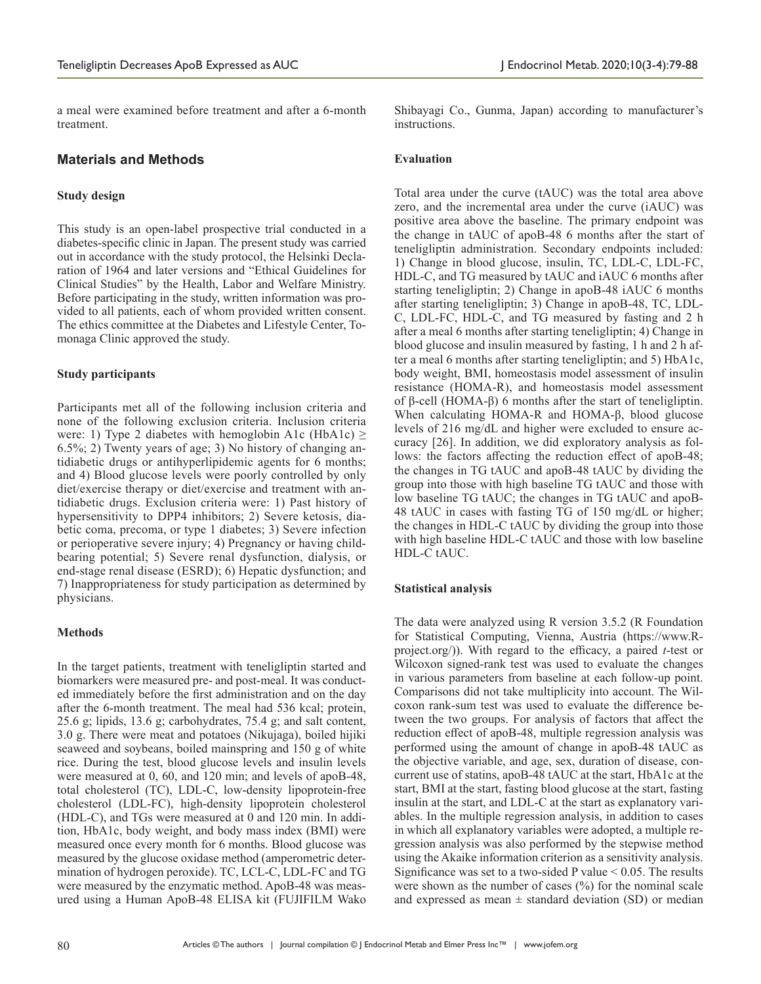a meal were examined before treatment and after a 6-month treatment.

## **Materials and Methods**

## **Study design**

This study is an open-label prospective trial conducted in a diabetes-specific clinic in Japan. The present study was carried out in accordance with the study protocol, the Helsinki Declaration of 1964 and later versions and "Ethical Guidelines for Clinical Studies" by the Health, Labor and Welfare Ministry. Before participating in the study, written information was provided to all patients, each of whom provided written consent. The ethics committee at the Diabetes and Lifestyle Center, Tomonaga Clinic approved the study.

## **Study participants**

Participants met all of the following inclusion criteria and none of the following exclusion criteria. Inclusion criteria were: 1) Type 2 diabetes with hemoglobin A1c (HbA1c)  $\ge$ 6.5%; 2) Twenty years of age; 3) No history of changing antidiabetic drugs or antihyperlipidemic agents for 6 months; and 4) Blood glucose levels were poorly controlled by only diet/exercise therapy or diet/exercise and treatment with antidiabetic drugs. Exclusion criteria were: 1) Past history of hypersensitivity to DPP4 inhibitors; 2) Severe ketosis, diabetic coma, precoma, or type 1 diabetes; 3) Severe infection or perioperative severe injury; 4) Pregnancy or having childbearing potential; 5) Severe renal dysfunction, dialysis, or end-stage renal disease (ESRD); 6) Hepatic dysfunction; and 7) Inappropriateness for study participation as determined by physicians.

## **Methods**

In the target patients, treatment with teneligliptin started and biomarkers were measured pre- and post-meal. It was conducted immediately before the first administration and on the day after the 6-month treatment. The meal had 536 kcal; protein, 25.6 g; lipids, 13.6 g; carbohydrates, 75.4 g; and salt content, 3.0 g. There were meat and potatoes (Nikujaga), boiled hijiki seaweed and soybeans, boiled mainspring and 150 g of white rice. During the test, blood glucose levels and insulin levels were measured at 0, 60, and 120 min; and levels of apoB-48, total cholesterol (TC), LDL-C, low-density lipoprotein-free cholesterol (LDL-FC), high-density lipoprotein cholesterol (HDL-C), and TGs were measured at 0 and 120 min. In addition, HbA1c, body weight, and body mass index (BMI) were measured once every month for 6 months. Blood glucose was measured by the glucose oxidase method (amperometric determination of hydrogen peroxide). TC, LCL-C, LDL-FC and TG were measured by the enzymatic method. ApoB-48 was measured using a Human ApoB-48 ELISA kit (FUJIFILM Wako

Shibayagi Co., Gunma, Japan) according to manufacturer's instructions.

## **Evaluation**

Total area under the curve (tAUC) was the total area above zero, and the incremental area under the curve (iAUC) was positive area above the baseline. The primary endpoint was the change in tAUC of apoB-48 6 months after the start of teneligliptin administration. Secondary endpoints included: 1) Change in blood glucose, insulin, TC, LDL-C, LDL-FC, HDL-C, and TG measured by tAUC and iAUC 6 months after starting teneligliptin; 2) Change in apoB-48 iAUC 6 months after starting teneligliptin; 3) Change in apoB-48, TC, LDL-C, LDL-FC, HDL-C, and TG measured by fasting and 2 h after a meal 6 months after starting teneligliptin; 4) Change in blood glucose and insulin measured by fasting, 1 h and 2 h after a meal 6 months after starting teneligliptin; and 5) HbA1c, body weight, BMI, homeostasis model assessment of insulin resistance (HOMA-R), and homeostasis model assessment of β-cell (HOMA-β) 6 months after the start of teneligliptin. When calculating HOMA-R and HOMA-β, blood glucose levels of 216 mg/dL and higher were excluded to ensure accuracy [26]. In addition, we did exploratory analysis as follows: the factors affecting the reduction effect of apoB-48; the changes in TG tAUC and apoB-48 tAUC by dividing the group into those with high baseline TG tAUC and those with low baseline TG tAUC; the changes in TG tAUC and apoB-48 tAUC in cases with fasting TG of 150 mg/dL or higher; the changes in HDL-C tAUC by dividing the group into those with high baseline HDL-C tAUC and those with low baseline HDL-C tAUC.

## **Statistical analysis**

The data were analyzed using R version 3.5.2 (R Foundation for Statistical Computing, Vienna, Austria (https://www.Rproject.org/)). With regard to the efficacy, a paired *t*-test or Wilcoxon signed-rank test was used to evaluate the changes in various parameters from baseline at each follow-up point. Comparisons did not take multiplicity into account. The Wilcoxon rank-sum test was used to evaluate the difference between the two groups. For analysis of factors that affect the reduction effect of apoB-48, multiple regression analysis was performed using the amount of change in apoB-48 tAUC as the objective variable, and age, sex, duration of disease, concurrent use of statins, apoB-48 tAUC at the start, HbA1c at the start, BMI at the start, fasting blood glucose at the start, fasting insulin at the start, and LDL-C at the start as explanatory variables. In the multiple regression analysis, in addition to cases in which all explanatory variables were adopted, a multiple regression analysis was also performed by the stepwise method using the Akaike information criterion as a sensitivity analysis. Significance was set to a two-sided P value  $\leq 0.05$ . The results were shown as the number of cases  $(\%)$  for the nominal scale and expressed as mean  $\pm$  standard deviation (SD) or median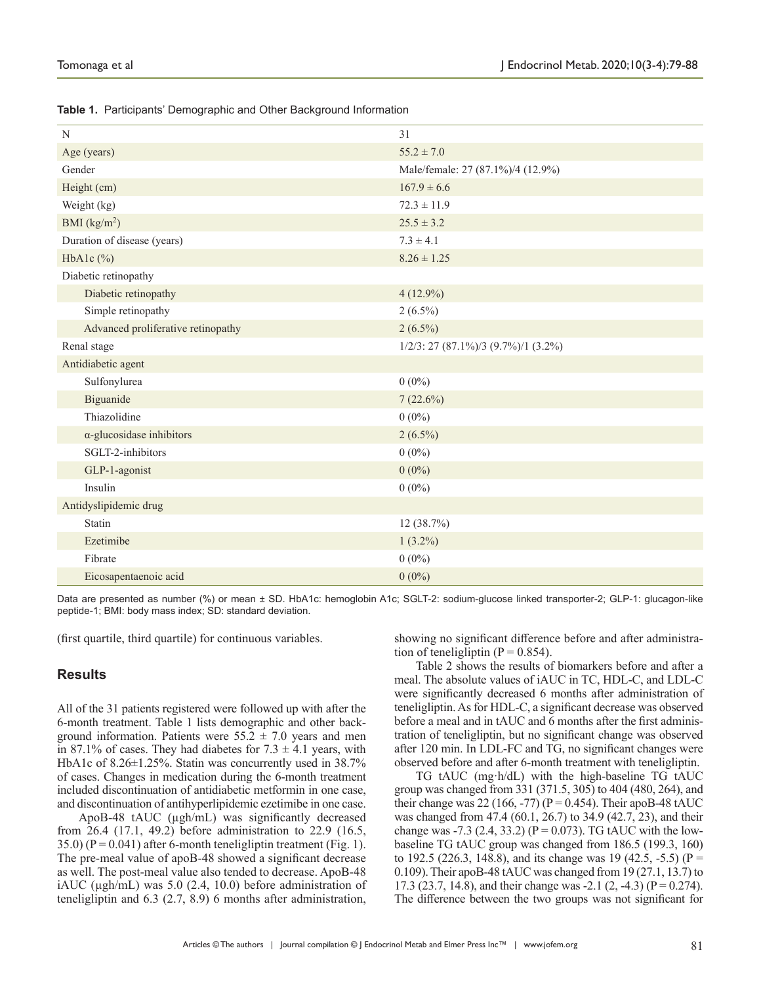|  |  |  | Table 1. Participants' Demographic and Other Background Information |  |
|--|--|--|---------------------------------------------------------------------|--|
|--|--|--|---------------------------------------------------------------------|--|

| N                                  | 31                                     |  |  |  |
|------------------------------------|----------------------------------------|--|--|--|
| Age (years)                        | $55.2 \pm 7.0$                         |  |  |  |
| Gender                             | Male/female: 27 (87.1%)/4 (12.9%)      |  |  |  |
| Height (cm)                        | $167.9 \pm 6.6$                        |  |  |  |
| Weight (kg)                        | $72.3 \pm 11.9$                        |  |  |  |
| BMI $(kg/m2)$                      | $25.5 \pm 3.2$                         |  |  |  |
| Duration of disease (years)        | $7.3 \pm 4.1$                          |  |  |  |
| HbA1c $(\%)$                       | $8.26 \pm 1.25$                        |  |  |  |
| Diabetic retinopathy               |                                        |  |  |  |
| Diabetic retinopathy               | $4(12.9\%)$                            |  |  |  |
| Simple retinopathy                 | $2(6.5\%)$                             |  |  |  |
| Advanced proliferative retinopathy | $2(6.5\%)$                             |  |  |  |
| Renal stage                        | $1/2/3$ : 27 (87.1%)/3 (9.7%)/1 (3.2%) |  |  |  |
| Antidiabetic agent                 |                                        |  |  |  |
| Sulfonylurea                       | $0(0\%)$                               |  |  |  |
| Biguanide                          | 7(22.6%)                               |  |  |  |
| Thiazolidine                       | $0(0\%)$                               |  |  |  |
| $\alpha$ -glucosidase inhibitors   | $2(6.5\%)$                             |  |  |  |
| SGLT-2-inhibitors                  | $0(0\%)$                               |  |  |  |
| GLP-1-agonist                      | $0(0\%)$                               |  |  |  |
| Insulin                            | $0(0\%)$                               |  |  |  |
| Antidyslipidemic drug              |                                        |  |  |  |
| Statin                             | 12(38.7%)                              |  |  |  |
| Ezetimibe                          | $1(3.2\%)$                             |  |  |  |
| Fibrate                            | $0(0\%)$                               |  |  |  |
| Eicosapentaenoic acid              | $0(0\%)$                               |  |  |  |

Data are presented as number (%) or mean ± SD. HbA1c: hemoglobin A1c; SGLT-2: sodium-glucose linked transporter-2; GLP-1: glucagon-like peptide-1; BMI: body mass index; SD: standard deviation.

(first quartile, third quartile) for continuous variables.

# **Results**

All of the 31 patients registered were followed up with after the 6-month treatment. Table 1 lists demographic and other background information. Patients were  $55.2 \pm 7.0$  years and men in 87.1% of cases. They had diabetes for  $7.3 \pm 4.1$  years, with HbA1c of 8.26±1.25%. Statin was concurrently used in 38.7% of cases. Changes in medication during the 6-month treatment included discontinuation of antidiabetic metformin in one case, and discontinuation of antihyperlipidemic ezetimibe in one case.

ApoB-48 tAUC (µgh/mL) was significantly decreased from 26.4 (17.1, 49.2) before administration to 22.9 (16.5,  $35.0$ ) (P = 0.041) after 6-month teneligliptin treatment (Fig. 1). The pre-meal value of apoB-48 showed a significant decrease as well. The post-meal value also tended to decrease. ApoB-48 iAUC (µgh/mL) was 5.0 (2.4, 10.0) before administration of teneligliptin and 6.3 (2.7, 8.9) 6 months after administration,

showing no significant difference before and after administration of teneligliptin ( $P = 0.854$ ).

Table 2 shows the results of biomarkers before and after a meal. The absolute values of iAUC in TC, HDL-C, and LDL-C were significantly decreased 6 months after administration of teneligliptin. As for HDL-C, a significant decrease was observed before a meal and in tAUC and 6 months after the first administration of teneligliptin, but no significant change was observed after 120 min. In LDL-FC and TG, no significant changes were observed before and after 6-month treatment with teneligliptin.

TG tAUC (mg·h/dL) with the high-baseline TG tAUC group was changed from 331 (371.5, 305) to 404 (480, 264), and their change was 22 (166, -77) ( $P = 0.454$ ). Their apoB-48 tAUC was changed from 47.4 (60.1, 26.7) to 34.9 (42.7, 23), and their change was -7.3 (2.4, 33.2) ( $P = 0.073$ ). TG tAUC with the lowbaseline TG tAUC group was changed from 186.5 (199.3, 160) to 192.5 (226.3, 148.8), and its change was 19 (42.5, -5.5) ( $P =$ 0.109). Their apoB-48 tAUC was changed from 19 (27.1, 13.7) to 17.3 (23.7, 14.8), and their change was -2.1 (2, -4.3) ( $P = 0.274$ ). The difference between the two groups was not significant for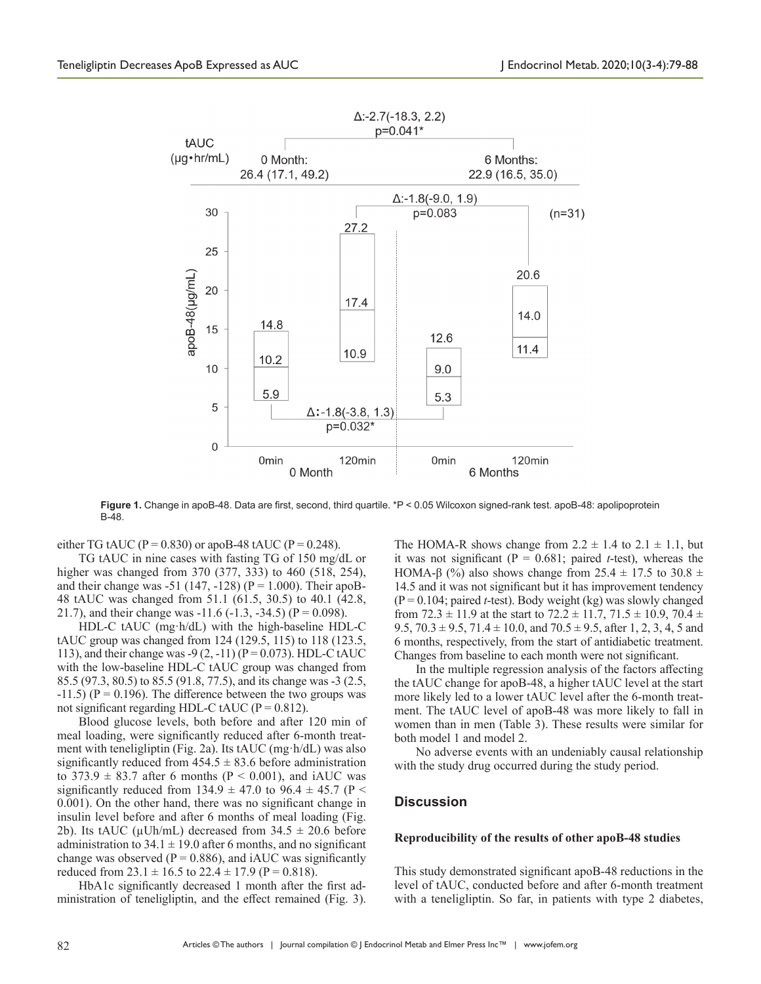

Figure 1. Change in apoB-48. Data are first, second, third quartile. \*P < 0.05 Wilcoxon signed-rank test. apoB-48: apolipoprotein B-48.

either TG tAUC ( $P = 0.830$ ) or apoB-48 tAUC ( $P = 0.248$ ).

TG tAUC in nine cases with fasting TG of 150 mg/dL or higher was changed from 370 (377, 333) to 460 (518, 254), and their change was -51 (147, -128) ( $P = 1.000$ ). Their apoB-48 tAUC was changed from 51.1 (61.5, 30.5) to 40.1 (42.8, 21.7), and their change was  $-11.6$  ( $-1.3$ ,  $-34.5$ ) ( $P = 0.098$ ).

HDL-C tAUC (mg·h/dL) with the high-baseline HDL-C tAUC group was changed from 124 (129.5, 115) to 118 (123.5, 113), and their change was -9  $(2, -11)$  (P = 0.073). HDL-C tAUC with the low-baseline HDL-C tAUC group was changed from 85.5 (97.3, 80.5) to 85.5 (91.8, 77.5), and its change was -3 (2.5,  $-11.5$ ) (P = 0.196). The difference between the two groups was not significant regarding HDL-C tAUC ( $P = 0.812$ ).

Blood glucose levels, both before and after 120 min of meal loading, were significantly reduced after 6-month treatment with teneligliptin (Fig. 2a). Its tAUC (mg·h/dL) was also significantly reduced from  $454.5 \pm 83.6$  before administration to  $373.9 \pm 83.7$  after 6 months (P < 0.001), and iAUC was significantly reduced from 134.9  $\pm$  47.0 to 96.4  $\pm$  45.7 (P < 0.001). On the other hand, there was no significant change in insulin level before and after 6 months of meal loading (Fig. 2b). Its tAUC ( $\mu$ Uh/mL) decreased from 34.5  $\pm$  20.6 before administration to  $34.1 \pm 19.0$  after 6 months, and no significant change was observed ( $P = 0.886$ ), and iAUC was significantly reduced from  $23.1 \pm 16.5$  to  $22.4 \pm 17.9$  (P = 0.818).

HbA1c significantly decreased 1 month after the first administration of teneligliptin, and the effect remained (Fig. 3).

The HOMA-R shows change from  $2.2 \pm 1.4$  to  $2.1 \pm 1.1$ , but it was not significant ( $P = 0.681$ ; paired *t*-test), whereas the HOMA-β (%) also shows change from 25.4  $\pm$  17.5 to 30.8  $\pm$ 14.5 and it was not significant but it has improvement tendency (P = 0.104; paired *t*-test). Body weight (kg) was slowly changed from  $72.3 \pm 11.9$  at the start to  $72.2 \pm 11.7$ ,  $71.5 \pm 10.9$ ,  $70.4 \pm 10.9$ 9.5,  $70.3 \pm 9.5$ ,  $71.4 \pm 10.0$ , and  $70.5 \pm 9.5$ , after 1, 2, 3, 4, 5 and 6 months, respectively, from the start of antidiabetic treatment. Changes from baseline to each month were not significant.

In the multiple regression analysis of the factors affecting the tAUC change for apoB-48, a higher tAUC level at the start more likely led to a lower tAUC level after the 6-month treatment. The tAUC level of apoB-48 was more likely to fall in women than in men (Table 3). These results were similar for both model 1 and model 2.

No adverse events with an undeniably causal relationship with the study drug occurred during the study period.

## **Discussion**

#### **Reproducibility of the results of other apoB-48 studies**

This study demonstrated significant apoB-48 reductions in the level of tAUC, conducted before and after 6-month treatment with a teneligliptin. So far, in patients with type 2 diabetes,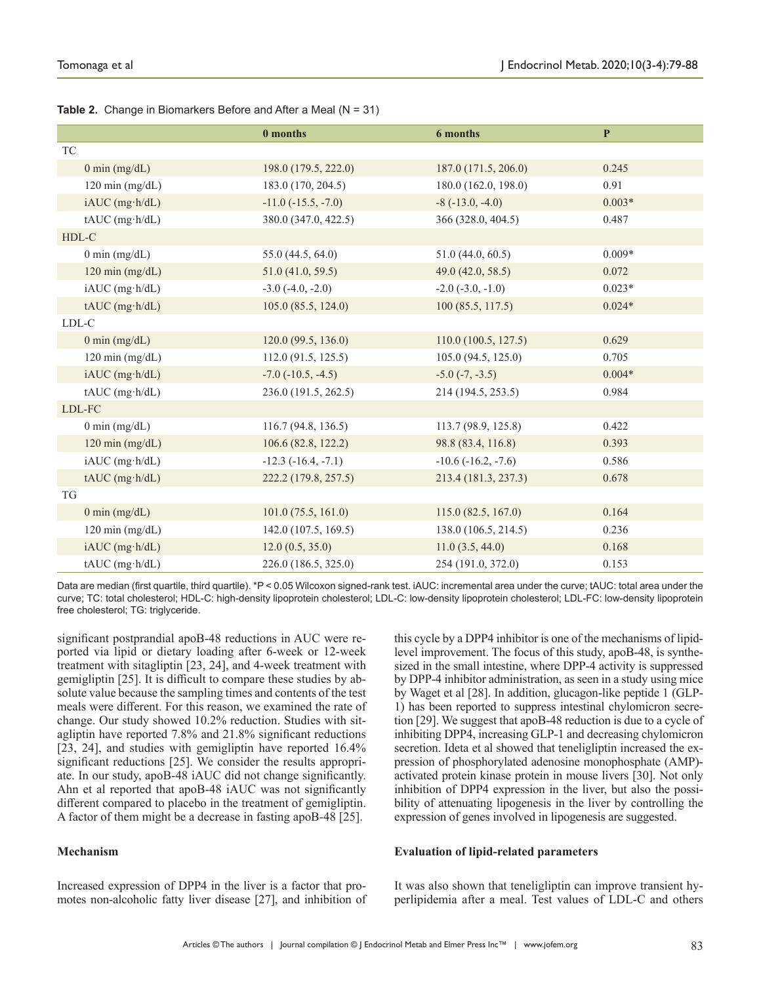|                            | 0 months                | 6 months                | $\mathbf P$ |
|----------------------------|-------------------------|-------------------------|-------------|
| <b>TC</b>                  |                         |                         |             |
| $0$ min (mg/dL)            | 198.0 (179.5, 222.0)    | 187.0 (171.5, 206.0)    | 0.245       |
| $120 \text{ min (mg/dL)}$  | 183.0 (170, 204.5)      | 180.0 (162.0, 198.0)    | 0.91        |
| iAUC (mg·h/dL)             | $-11.0$ $(-15.5, -7.0)$ | $-8$ ( $-13.0, -4.0$ )  | $0.003*$    |
| $tAUC$ (mg·h/dL)           | 380.0 (347.0, 422.5)    | 366 (328.0, 404.5)      | 0.487       |
| HDL-C                      |                         |                         |             |
| $0 \text{ min (mg/dL)}$    | 55.0 (44.5, 64.0)       | 51.0(44.0, 60.5)        | $0.009*$    |
| $120 \text{ min (mg/dL)}$  | 51.0 (41.0, 59.5)       | 49.0(42.0, 58.5)        | 0.072       |
| iAUC (mg·h/dL)             | $-3.0$ $(-4.0, -2.0)$   | $-2.0$ $(-3.0, -1.0)$   | $0.023*$    |
| $tAUC$ (mg·h/dL)           | 105.0(85.5, 124.0)      | 100 (85.5, 117.5)       | $0.024*$    |
| ${\rm LDL}\text{-}{\rm C}$ |                         |                         |             |
| $0 \text{ min (mg/dL)}$    | 120.0(99.5, 136.0)      | 110.0(100.5, 127.5)     | 0.629       |
| $120 \text{ min (mg/dL)}$  | 112.0(91.5, 125.5)      | 105.0 (94.5, 125.0)     | 0.705       |
| iAUC (mg·h/dL)             | $-7.0$ $(-10.5, -4.5)$  | $-5.0$ $(-7, -3.5)$     | $0.004*$    |
| $tAUC$ (mg·h/dL)           | 236.0 (191.5, 262.5)    | 214 (194.5, 253.5)      | 0.984       |
| LDL-FC                     |                         |                         |             |
| $0 \text{ min (mg/dL)}$    | 116.7(94.8, 136.5)      | 113.7 (98.9, 125.8)     | 0.422       |
| $120 \text{ min (mg/dL)}$  | 106.6(82.8, 122.2)      | 98.8 (83.4, 116.8)      | 0.393       |
| $iAUC$ (mg·h/dL)           | $-12.3$ $(-16.4, -7.1)$ | $-10.6$ $(-16.2, -7.6)$ | 0.586       |
| $tAUC$ (mg·h/dL)           | 222.2 (179.8, 257.5)    | 213.4 (181.3, 237.3)    | 0.678       |
| TG                         |                         |                         |             |
| $0 \text{ min (mg/dL)}$    | 101.0(75.5, 161.0)      | 115.0(82.5, 167.0)      | 0.164       |
| $120 \text{ min (mg/dL)}$  | 142.0(107.5, 169.5)     | 138.0 (106.5, 214.5)    | 0.236       |
| iAUC (mg·h/dL)             | 12.0(0.5, 35.0)         | 11.0(3.5, 44.0)         | 0.168       |
| $tAUC$ (mg·h/dL)           | 226.0 (186.5, 325.0)    | 254 (191.0, 372.0)      | 0.153       |

**Table 2.** Change in Biomarkers Before and After a Meal (N = 31)

Data are median (first quartile, third quartile). \*P < 0.05 Wilcoxon signed-rank test. iAUC: incremental area under the curve; tAUC: total area under the curve; TC: total cholesterol; HDL-C: high-density lipoprotein cholesterol; LDL-C: low-density lipoprotein cholesterol; LDL-FC: low-density lipoprotein free cholesterol; TG: triglyceride.

significant postprandial apoB-48 reductions in AUC were reported via lipid or dietary loading after 6-week or 12-week treatment with sitagliptin [23, 24], and 4-week treatment with gemigliptin [25]. It is difficult to compare these studies by absolute value because the sampling times and contents of the test meals were different. For this reason, we examined the rate of change. Our study showed 10.2% reduction. Studies with sitagliptin have reported 7.8% and 21.8% significant reductions [23, 24], and studies with gemigliptin have reported 16.4% significant reductions [25]. We consider the results appropriate. In our study, apoB-48 iAUC did not change significantly. Ahn et al reported that apoB-48 iAUC was not significantly different compared to placebo in the treatment of gemigliptin. A factor of them might be a decrease in fasting apoB-48 [25].

# **Mechanism**

Increased expression of DPP4 in the liver is a factor that promotes non-alcoholic fatty liver disease [27], and inhibition of

this cycle by a DPP4 inhibitor is one of the mechanisms of lipidlevel improvement. The focus of this study, apoB-48, is synthesized in the small intestine, where DPP-4 activity is suppressed by DPP-4 inhibitor administration, as seen in a study using mice by Waget et al [28]. In addition, glucagon-like peptide 1 (GLP-1) has been reported to suppress intestinal chylomicron secretion [29]. We suggest that apoB-48 reduction is due to a cycle of inhibiting DPP4, increasing GLP-1 and decreasing chylomicron secretion. Ideta et al showed that teneligliptin increased the expression of phosphorylated adenosine monophosphate (AMP) activated protein kinase protein in mouse livers [30]. Not only inhibition of DPP4 expression in the liver, but also the possibility of attenuating lipogenesis in the liver by controlling the expression of genes involved in lipogenesis are suggested.

## **Evaluation of lipid-related parameters**

It was also shown that teneligliptin can improve transient hyperlipidemia after a meal. Test values of LDL-C and others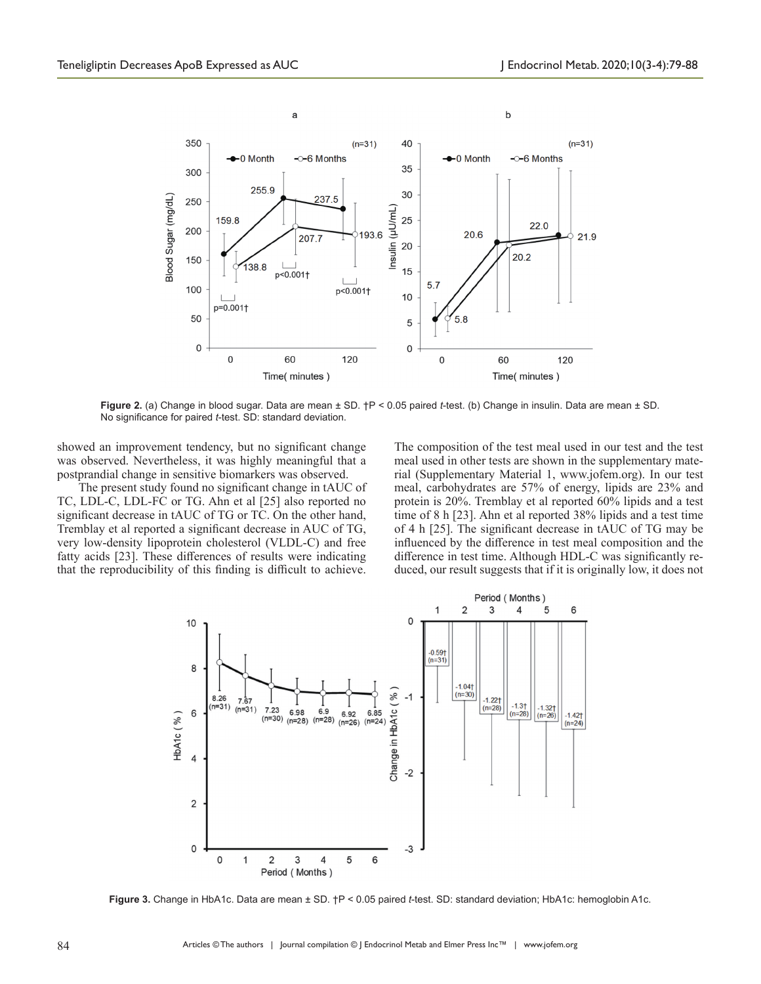

**Figure 2.** (a) Change in blood sugar. Data are mean ± SD. †P < 0.05 paired *t*-test. (b) Change in insulin. Data are mean ± SD. No significance for paired *t*-test. SD: standard deviation.

showed an improvement tendency, but no significant change was observed. Nevertheless, it was highly meaningful that a postprandial change in sensitive biomarkers was observed.

The present study found no significant change in tAUC of TC, LDL-C, LDL-FC or TG. Ahn et al [25] also reported no significant decrease in tAUC of TG or TC. On the other hand, Tremblay et al reported a significant decrease in AUC of TG, very low-density lipoprotein cholesterol (VLDL-C) and free fatty acids [23]. These differences of results were indicating that the reproducibility of this finding is difficult to achieve.

The composition of the test meal used in our test and the test meal used in other tests are shown in the supplementary material (Supplementary Material 1, www.jofem.org). In our test meal, carbohydrates are 57% of energy, lipids are 23% and protein is 20%. Tremblay et al reported 60% lipids and a test time of 8 h [23]. Ahn et al reported 38% lipids and a test time of 4 h [25]. The significant decrease in tAUC of TG may be influenced by the difference in test meal composition and the difference in test time. Although HDL-C was significantly reduced, our result suggests that if it is originally low, it does not



**Figure 3.** Change in HbA1c. Data are mean ± SD. †P < 0.05 paired *t*-test. SD: standard deviation; HbA1c: hemoglobin A1c.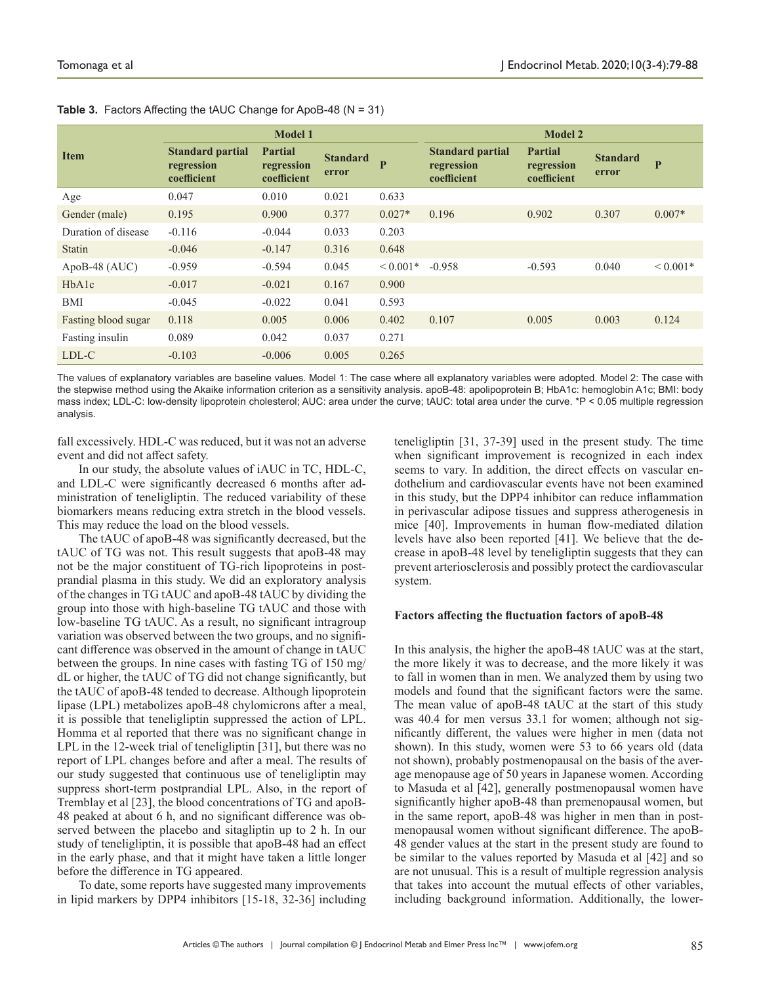|                     | <b>Model 1</b>                                       |                                             |                          | <b>Model 2</b> |                                                      |                                             |                          |                |
|---------------------|------------------------------------------------------|---------------------------------------------|--------------------------|----------------|------------------------------------------------------|---------------------------------------------|--------------------------|----------------|
| <b>Item</b>         | <b>Standard partial</b><br>regression<br>coefficient | <b>Partial</b><br>regression<br>coefficient | <b>Standard</b><br>error | $\mathbf{P}$   | <b>Standard partial</b><br>regression<br>coefficient | <b>Partial</b><br>regression<br>coefficient | <b>Standard</b><br>error | $\overline{P}$ |
| Age                 | 0.047                                                | 0.010                                       | 0.021                    | 0.633          |                                                      |                                             |                          |                |
| Gender (male)       | 0.195                                                | 0.900                                       | 0.377                    | $0.027*$       | 0.196                                                | 0.902                                       | 0.307                    | $0.007*$       |
| Duration of disease | $-0.116$                                             | $-0.044$                                    | 0.033                    | 0.203          |                                                      |                                             |                          |                |
| Statin              | $-0.046$                                             | $-0.147$                                    | 0.316                    | 0.648          |                                                      |                                             |                          |                |
| ApoB-48 $(AUC)$     | $-0.959$                                             | $-0.594$                                    | 0.045                    | $0.001*$       | $-0.958$                                             | $-0.593$                                    | 0.040                    | ${}< 0.001*$   |
| HbA1c               | $-0.017$                                             | $-0.021$                                    | 0.167                    | 0.900          |                                                      |                                             |                          |                |
| BMI                 | $-0.045$                                             | $-0.022$                                    | 0.041                    | 0.593          |                                                      |                                             |                          |                |
| Fasting blood sugar | 0.118                                                | 0.005                                       | 0.006                    | 0.402          | 0.107                                                | 0.005                                       | 0.003                    | 0.124          |
| Fasting insulin     | 0.089                                                | 0.042                                       | 0.037                    | 0.271          |                                                      |                                             |                          |                |
| LDL-C               | $-0.103$                                             | $-0.006$                                    | 0.005                    | 0.265          |                                                      |                                             |                          |                |

**Table 3.** Factors Affecting the tAUC Change for ApoB-48 (N = 31)

The values of explanatory variables are baseline values. Model 1: The case where all explanatory variables were adopted. Model 2: The case with the stepwise method using the Akaike information criterion as a sensitivity analysis. apoB-48: apolipoprotein B; HbA1c: hemoglobin A1c; BMI: body mass index; LDL-C: low-density lipoprotein cholesterol; AUC: area under the curve; tAUC: total area under the curve. \*P < 0.05 multiple regression analysis.

fall excessively. HDL-C was reduced, but it was not an adverse event and did not affect safety.

In our study, the absolute values of iAUC in TC, HDL-C, and LDL-C were significantly decreased 6 months after administration of teneligliptin. The reduced variability of these biomarkers means reducing extra stretch in the blood vessels. This may reduce the load on the blood vessels.

The tAUC of apoB-48 was significantly decreased, but the tAUC of TG was not. This result suggests that apoB-48 may not be the major constituent of TG-rich lipoproteins in postprandial plasma in this study. We did an exploratory analysis of the changes in TG tAUC and apoB-48 tAUC by dividing the group into those with high-baseline TG tAUC and those with low-baseline TG tAUC. As a result, no significant intragroup variation was observed between the two groups, and no significant difference was observed in the amount of change in tAUC between the groups. In nine cases with fasting TG of 150 mg/ dL or higher, the tAUC of TG did not change significantly, but the tAUC of apoB-48 tended to decrease. Although lipoprotein lipase (LPL) metabolizes apoB-48 chylomicrons after a meal, it is possible that teneligliptin suppressed the action of LPL. Homma et al reported that there was no significant change in LPL in the 12-week trial of teneligliptin [31], but there was no report of LPL changes before and after a meal. The results of our study suggested that continuous use of teneligliptin may suppress short-term postprandial LPL. Also, in the report of Tremblay et al [23], the blood concentrations of TG and apoB-48 peaked at about 6 h, and no significant difference was observed between the placebo and sitagliptin up to 2 h. In our study of teneligliptin, it is possible that apoB-48 had an effect in the early phase, and that it might have taken a little longer before the difference in TG appeared.

To date, some reports have suggested many improvements in lipid markers by DPP4 inhibitors [15-18, 32-36] including

teneligliptin [31, 37-39] used in the present study. The time when significant improvement is recognized in each index seems to vary. In addition, the direct effects on vascular endothelium and cardiovascular events have not been examined in this study, but the DPP4 inhibitor can reduce inflammation in perivascular adipose tissues and suppress atherogenesis in mice [40]. Improvements in human flow-mediated dilation levels have also been reported [41]. We believe that the decrease in apoB-48 level by teneligliptin suggests that they can prevent arteriosclerosis and possibly protect the cardiovascular system.

#### **Factors affecting the fluctuation factors of apoB-48**

In this analysis, the higher the apoB-48 tAUC was at the start, the more likely it was to decrease, and the more likely it was to fall in women than in men. We analyzed them by using two models and found that the significant factors were the same. The mean value of apoB-48 tAUC at the start of this study was 40.4 for men versus 33.1 for women; although not significantly different, the values were higher in men (data not shown). In this study, women were 53 to 66 years old (data not shown), probably postmenopausal on the basis of the average menopause age of 50 years in Japanese women. According to Masuda et al [42], generally postmenopausal women have significantly higher apoB-48 than premenopausal women, but in the same report, apoB-48 was higher in men than in postmenopausal women without significant difference. The apoB-48 gender values at the start in the present study are found to be similar to the values reported by Masuda et al [42] and so are not unusual. This is a result of multiple regression analysis that takes into account the mutual effects of other variables, including background information. Additionally, the lower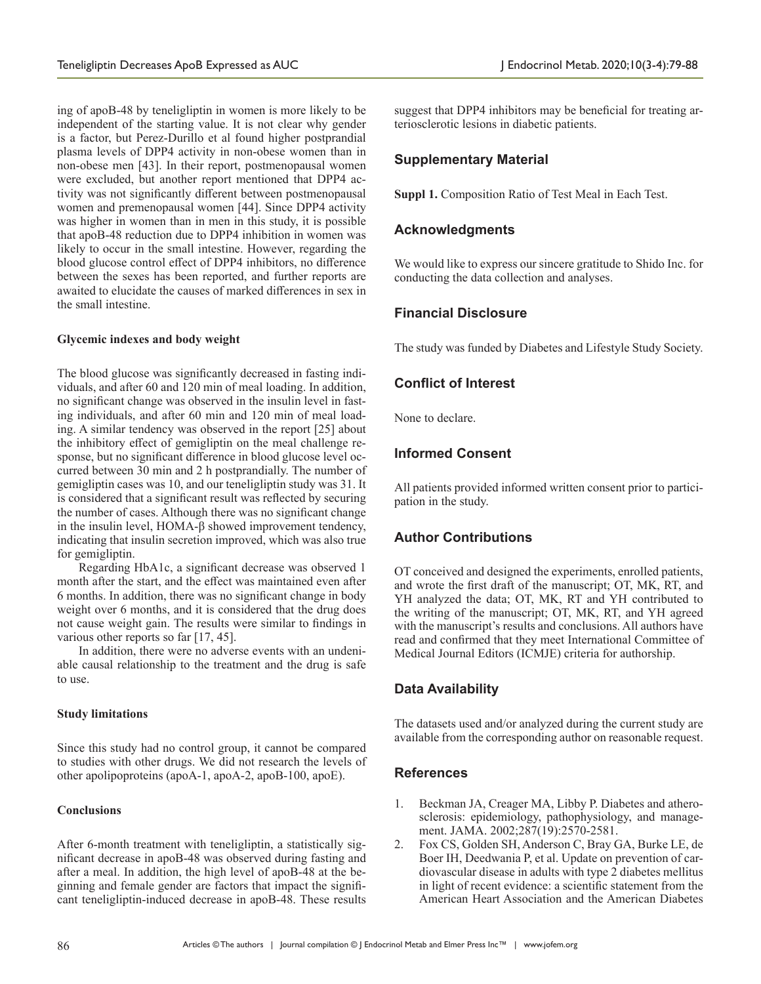ing of apoB-48 by teneligliptin in women is more likely to be independent of the starting value. It is not clear why gender is a factor, but Perez-Durillo et al found higher postprandial plasma levels of DPP4 activity in non-obese women than in non-obese men [43]. In their report, postmenopausal women were excluded, but another report mentioned that DPP4 activity was not significantly different between postmenopausal women and premenopausal women [44]. Since DPP4 activity was higher in women than in men in this study, it is possible that apoB-48 reduction due to DPP4 inhibition in women was likely to occur in the small intestine. However, regarding the blood glucose control effect of DPP4 inhibitors, no difference between the sexes has been reported, and further reports are awaited to elucidate the causes of marked differences in sex in the small intestine.

## **Glycemic indexes and body weight**

The blood glucose was significantly decreased in fasting individuals, and after 60 and 120 min of meal loading. In addition, no significant change was observed in the insulin level in fasting individuals, and after 60 min and 120 min of meal loading. A similar tendency was observed in the report [25] about the inhibitory effect of gemigliptin on the meal challenge response, but no significant difference in blood glucose level occurred between 30 min and 2 h postprandially. The number of gemigliptin cases was 10, and our teneligliptin study was 31. It is considered that a significant result was reflected by securing the number of cases. Although there was no significant change in the insulin level, HOMA-β showed improvement tendency, indicating that insulin secretion improved, which was also true for gemigliptin.

Regarding HbA1c, a significant decrease was observed 1 month after the start, and the effect was maintained even after 6 months. In addition, there was no significant change in body weight over 6 months, and it is considered that the drug does not cause weight gain. The results were similar to findings in various other reports so far [17, 45].

In addition, there were no adverse events with an undeniable causal relationship to the treatment and the drug is safe to use.

## **Study limitations**

Since this study had no control group, it cannot be compared to studies with other drugs. We did not research the levels of other apolipoproteins (apoA-1, apoA-2, apoB-100, apoE).

# **Conclusions**

After 6-month treatment with teneligliptin, a statistically significant decrease in apoB-48 was observed during fasting and after a meal. In addition, the high level of apoB-48 at the beginning and female gender are factors that impact the significant teneligliptin-induced decrease in apoB-48. These results suggest that DPP4 inhibitors may be beneficial for treating arteriosclerotic lesions in diabetic patients.

# **Supplementary Material**

**Suppl 1.** Composition Ratio of Test Meal in Each Test.

# **Acknowledgments**

We would like to express our sincere gratitude to Shido Inc. for conducting the data collection and analyses.

# **Financial Disclosure**

The study was funded by Diabetes and Lifestyle Study Society.

# **Conflict of Interest**

None to declare.

# **Informed Consent**

All patients provided informed written consent prior to participation in the study.

# **Author Contributions**

OT conceived and designed the experiments, enrolled patients, and wrote the first draft of the manuscript; OT, MK, RT, and YH analyzed the data; OT, MK, RT and YH contributed to the writing of the manuscript; OT, MK, RT, and YH agreed with the manuscript's results and conclusions. All authors have read and confirmed that they meet International Committee of Medical Journal Editors (ICMJE) criteria for authorship.

# **Data Availability**

The datasets used and/or analyzed during the current study are available from the corresponding author on reasonable request.

# **References**

- 1. Beckman JA, Creager MA, Libby P. Diabetes and atherosclerosis: epidemiology, pathophysiology, and management. JAMA. 2002;287(19):2570-2581.
- 2. Fox CS, Golden SH, Anderson C, Bray GA, Burke LE, de Boer IH, Deedwania P, et al. Update on prevention of cardiovascular disease in adults with type 2 diabetes mellitus in light of recent evidence: a scientific statement from the American Heart Association and the American Diabetes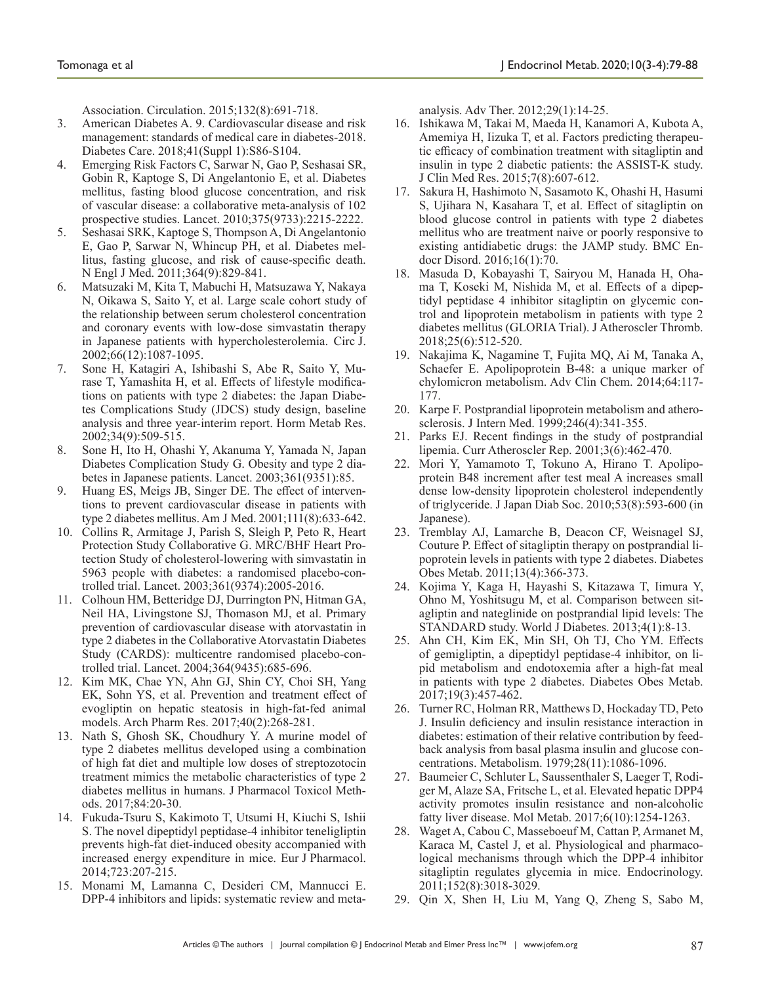Association. Circulation. 2015;132(8):691-718.

- 3. American Diabetes A. 9. Cardiovascular disease and risk management: standards of medical care in diabetes-2018. Diabetes Care. 2018;41(Suppl 1):S86-S104.
- 4. Emerging Risk Factors C, Sarwar N, Gao P, Seshasai SR, Gobin R, Kaptoge S, Di Angelantonio E, et al. Diabetes mellitus, fasting blood glucose concentration, and risk of vascular disease: a collaborative meta-analysis of 102 prospective studies. Lancet. 2010;375(9733):2215-2222.
- 5. Seshasai SRK, Kaptoge S, Thompson A, Di Angelantonio E, Gao P, Sarwar N, Whincup PH, et al. Diabetes mellitus, fasting glucose, and risk of cause-specific death. N Engl J Med. 2011;364(9):829-841.
- 6. Matsuzaki M, Kita T, Mabuchi H, Matsuzawa Y, Nakaya N, Oikawa S, Saito Y, et al. Large scale cohort study of the relationship between serum cholesterol concentration and coronary events with low-dose simvastatin therapy in Japanese patients with hypercholesterolemia. Circ J. 2002;66(12):1087-1095.
- 7. Sone H, Katagiri A, Ishibashi S, Abe R, Saito Y, Murase T, Yamashita H, et al. Effects of lifestyle modifications on patients with type 2 diabetes: the Japan Diabetes Complications Study (JDCS) study design, baseline analysis and three year-interim report. Horm Metab Res. 2002;34(9):509-515.
- 8. Sone H, Ito H, Ohashi Y, Akanuma Y, Yamada N, Japan Diabetes Complication Study G. Obesity and type 2 diabetes in Japanese patients. Lancet. 2003;361(9351):85.
- 9. Huang ES, Meigs JB, Singer DE. The effect of interventions to prevent cardiovascular disease in patients with type 2 diabetes mellitus. Am J Med. 2001;111(8):633-642.
- 10. Collins R, Armitage J, Parish S, Sleigh P, Peto R, Heart Protection Study Collaborative G. MRC/BHF Heart Protection Study of cholesterol-lowering with simvastatin in 5963 people with diabetes: a randomised placebo-controlled trial. Lancet. 2003;361(9374):2005-2016.
- 11. Colhoun HM, Betteridge DJ, Durrington PN, Hitman GA, Neil HA, Livingstone SJ, Thomason MJ, et al. Primary prevention of cardiovascular disease with atorvastatin in type 2 diabetes in the Collaborative Atorvastatin Diabetes Study (CARDS): multicentre randomised placebo-controlled trial. Lancet. 2004;364(9435):685-696.
- 12. Kim MK, Chae YN, Ahn GJ, Shin CY, Choi SH, Yang EK, Sohn YS, et al. Prevention and treatment effect of evogliptin on hepatic steatosis in high-fat-fed animal models. Arch Pharm Res. 2017;40(2):268-281.
- 13. Nath S, Ghosh SK, Choudhury Y. A murine model of type 2 diabetes mellitus developed using a combination of high fat diet and multiple low doses of streptozotocin treatment mimics the metabolic characteristics of type 2 diabetes mellitus in humans. J Pharmacol Toxicol Methods. 2017;84:20-30.
- 14. Fukuda-Tsuru S, Kakimoto T, Utsumi H, Kiuchi S, Ishii S. The novel dipeptidyl peptidase-4 inhibitor teneligliptin prevents high-fat diet-induced obesity accompanied with increased energy expenditure in mice. Eur J Pharmacol. 2014;723:207-215.
- 15. Monami M, Lamanna C, Desideri CM, Mannucci E. DPP-4 inhibitors and lipids: systematic review and meta-

analysis. Adv Ther. 2012;29(1):14-25.

- 16. Ishikawa M, Takai M, Maeda H, Kanamori A, Kubota A, Amemiya H, Iizuka T, et al. Factors predicting therapeutic efficacy of combination treatment with sitagliptin and insulin in type 2 diabetic patients: the ASSIST-K study. J Clin Med Res. 2015;7(8):607-612.
- 17. Sakura H, Hashimoto N, Sasamoto K, Ohashi H, Hasumi S, Ujihara N, Kasahara T, et al. Effect of sitagliptin on blood glucose control in patients with type 2 diabetes mellitus who are treatment naive or poorly responsive to existing antidiabetic drugs: the JAMP study. BMC Endocr Disord. 2016;16(1):70.
- 18. Masuda D, Kobayashi T, Sairyou M, Hanada H, Ohama T, Koseki M, Nishida M, et al. Effects of a dipeptidyl peptidase 4 inhibitor sitagliptin on glycemic control and lipoprotein metabolism in patients with type 2 diabetes mellitus (GLORIA Trial). J Atheroscler Thromb. 2018;25(6):512-520.
- 19. Nakajima K, Nagamine T, Fujita MQ, Ai M, Tanaka A, Schaefer E. Apolipoprotein B-48: a unique marker of chylomicron metabolism. Adv Clin Chem. 2014;64:117- 177.
- 20. Karpe F. Postprandial lipoprotein metabolism and atherosclerosis. J Intern Med. 1999;246(4):341-355.
- 21. Parks EJ. Recent findings in the study of postprandial lipemia. Curr Atheroscler Rep. 2001;3(6):462-470.
- 22. Mori Y, Yamamoto T, Tokuno A, Hirano T. Apolipoprotein B48 increment after test meal A increases small dense low-density lipoprotein cholesterol independently of triglyceride. J Japan Diab Soc. 2010;53(8):593-600 (in Japanese).
- 23. Tremblay AJ, Lamarche B, Deacon CF, Weisnagel SJ, Couture P. Effect of sitagliptin therapy on postprandial lipoprotein levels in patients with type 2 diabetes. Diabetes Obes Metab. 2011;13(4):366-373.
- 24. Kojima Y, Kaga H, Hayashi S, Kitazawa T, Iimura Y, Ohno M, Yoshitsugu M, et al. Comparison between sitagliptin and nateglinide on postprandial lipid levels: The STANDARD study. World J Diabetes. 2013;4(1):8-13.
- 25. Ahn CH, Kim EK, Min SH, Oh TJ, Cho YM. Effects of gemigliptin, a dipeptidyl peptidase-4 inhibitor, on lipid metabolism and endotoxemia after a high-fat meal in patients with type 2 diabetes. Diabetes Obes Metab. 2017;19(3):457-462.
- 26. Turner RC, Holman RR, Matthews D, Hockaday TD, Peto J. Insulin deficiency and insulin resistance interaction in diabetes: estimation of their relative contribution by feedback analysis from basal plasma insulin and glucose concentrations. Metabolism. 1979;28(11):1086-1096.
- 27. Baumeier C, Schluter L, Saussenthaler S, Laeger T, Rodiger M, Alaze SA, Fritsche L, et al. Elevated hepatic DPP4 activity promotes insulin resistance and non-alcoholic fatty liver disease. Mol Metab. 2017;6(10):1254-1263.
- 28. Waget A, Cabou C, Masseboeuf M, Cattan P, Armanet M, Karaca M, Castel J, et al. Physiological and pharmacological mechanisms through which the DPP-4 inhibitor sitagliptin regulates glycemia in mice. Endocrinology. 2011;152(8):3018-3029.
- 29. Qin X, Shen H, Liu M, Yang Q, Zheng S, Sabo M,